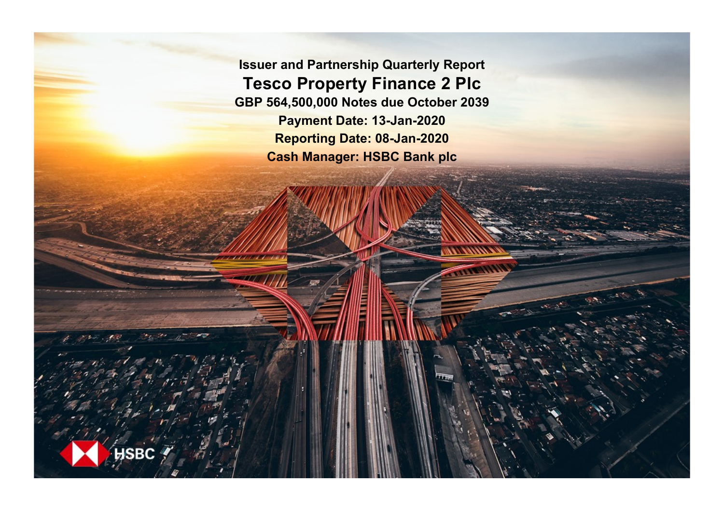**Issuer and Partnership Quarterly Report Tesco Property Finance 2 Plc GBP 564,500,000 Notes due October 2039 Payment Date: 13-Jan-2020 Reporting Date: 08-Jan-2020 Cash Manager: HSBC Bank plc**

**SRC**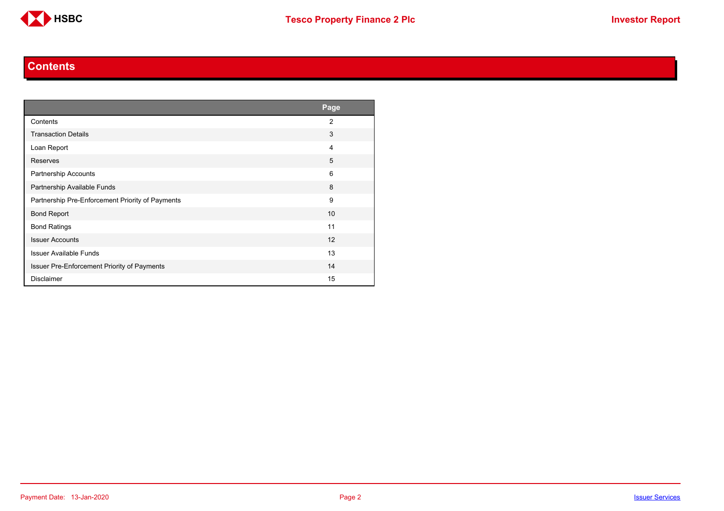

#### **Contents**

<span id="page-1-0"></span>

|                                                  | Page           |
|--------------------------------------------------|----------------|
| Contents                                         | $\overline{2}$ |
| <b>Transaction Details</b>                       | 3              |
| Loan Report                                      | 4              |
| Reserves                                         | 5              |
| Partnership Accounts                             | 6              |
| Partnership Available Funds                      | 8              |
| Partnership Pre-Enforcement Priority of Payments | 9              |
| <b>Bond Report</b>                               | 10             |
| <b>Bond Ratings</b>                              | 11             |
| <b>Issuer Accounts</b>                           | 12             |
| <b>Issuer Available Funds</b>                    | 13             |
| Issuer Pre-Enforcement Priority of Payments      | 14             |
| <b>Disclaimer</b>                                | 15             |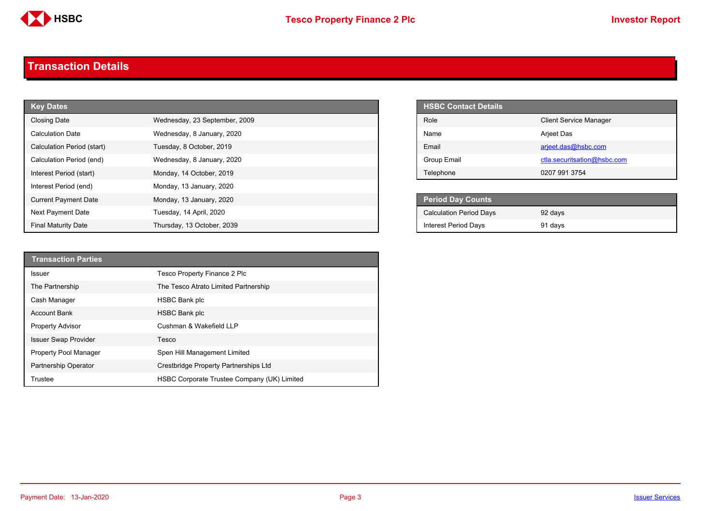

#### <span id="page-2-0"></span>**Transaction Details**

| <b>Key Dates</b>            |                               | <b>HSBC Contact Details</b>    |                               |
|-----------------------------|-------------------------------|--------------------------------|-------------------------------|
| <b>Closing Date</b>         | Wednesday, 23 September, 2009 | Role                           | <b>Client Service Manager</b> |
| <b>Calculation Date</b>     | Wednesday, 8 January, 2020    | Name                           | Arjeet Das                    |
| Calculation Period (start)  | Tuesday, 8 October, 2019      | Email                          | arjeet.das@hsbc.com           |
| Calculation Period (end)    | Wednesday, 8 January, 2020    | Group Email                    | ctla.securitsation@hsbc.com   |
| Interest Period (start)     | Monday, 14 October, 2019      | Telephone                      | 0207 991 3754                 |
| Interest Period (end)       | Monday, 13 January, 2020      |                                |                               |
| <b>Current Payment Date</b> | Monday, 13 January, 2020      | <b>Period Day Counts</b>       |                               |
| Next Payment Date           | Tuesday, 14 April, 2020       | <b>Calculation Period Days</b> | 92 days                       |
| <b>Final Maturity Date</b>  | Thursday, 13 October, 2039    | <b>Interest Period Days</b>    | 91 days                       |

| <b>HSBC Contact Details</b> |                               |
|-----------------------------|-------------------------------|
| Role                        | <b>Client Service Manager</b> |
| Name                        | Arjeet Das                    |
| Email                       | arjeet.das@hsbc.com           |
| Group Email                 | ctla.securitsation@hsbc.com   |
| Telephone                   | 0207 991 3754                 |

| <b>Period Day Counts</b>       |         |  |
|--------------------------------|---------|--|
| <b>Calculation Period Days</b> | 92 days |  |
| <b>Interest Period Days</b>    | 91 days |  |

| <b>Transaction Parties</b>   |                                             |
|------------------------------|---------------------------------------------|
| Issuer                       | Tesco Property Finance 2 Plc                |
| The Partnership              | The Tesco Atrato Limited Partnership        |
| Cash Manager                 | <b>HSBC Bank plc</b>                        |
| <b>Account Bank</b>          | <b>HSBC Bank plc</b>                        |
| <b>Property Advisor</b>      | Cushman & Wakefield LLP                     |
| <b>Issuer Swap Provider</b>  | Tesco                                       |
| <b>Property Pool Manager</b> | Spen Hill Management Limited                |
| <b>Partnership Operator</b>  | Crestbridge Property Partnerships Ltd       |
| Trustee                      | HSBC Corporate Trustee Company (UK) Limited |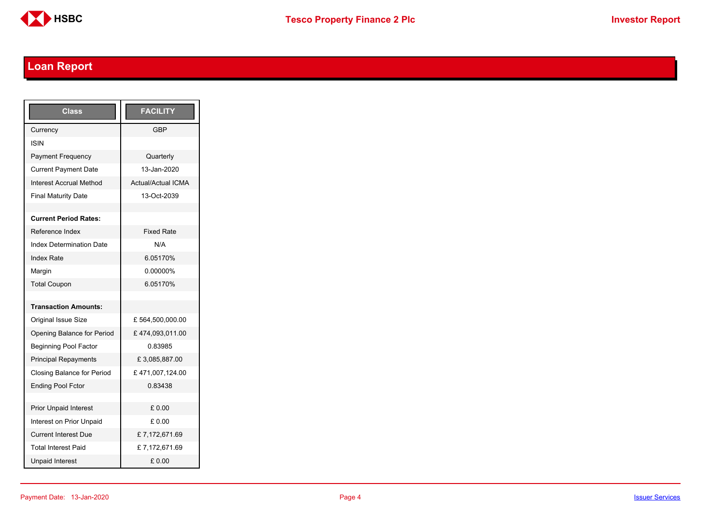

# <span id="page-3-0"></span>**Loan Report**

| <b>Class</b>                    | <b>FACILITY</b>           |
|---------------------------------|---------------------------|
| Currency                        | GBP                       |
| <b>ISIN</b>                     |                           |
| <b>Payment Frequency</b>        | Quarterly                 |
| <b>Current Payment Date</b>     | 13-Jan-2020               |
| <b>Interest Accrual Method</b>  | <b>Actual/Actual ICMA</b> |
| <b>Final Maturity Date</b>      | 13-Oct-2039               |
|                                 |                           |
| <b>Current Period Rates:</b>    |                           |
| Reference Index                 | <b>Fixed Rate</b>         |
| <b>Index Determination Date</b> | N/A                       |
| <b>Index Rate</b>               | 6.05170%                  |
| Margin                          | 0.00000%                  |
| <b>Total Coupon</b>             | 6.05170%                  |
|                                 |                           |
| <b>Transaction Amounts:</b>     |                           |
| Original Issue Size             | £564,500,000.00           |
| Opening Balance for Period      | £474,093,011.00           |
| <b>Beginning Pool Factor</b>    | 0.83985                   |
| <b>Principal Repayments</b>     | £3,085,887.00             |
| Closing Balance for Period      | £471,007,124.00           |
| <b>Ending Pool Fctor</b>        | 0.83438                   |
|                                 |                           |
| <b>Prior Unpaid Interest</b>    | £0.00                     |
| Interest on Prior Unpaid        | £ 0.00                    |
| <b>Current Interest Due</b>     | £7,172,671.69             |
| <b>Total Interest Paid</b>      | £7,172,671.69             |
| <b>Unpaid Interest</b>          | £0.00                     |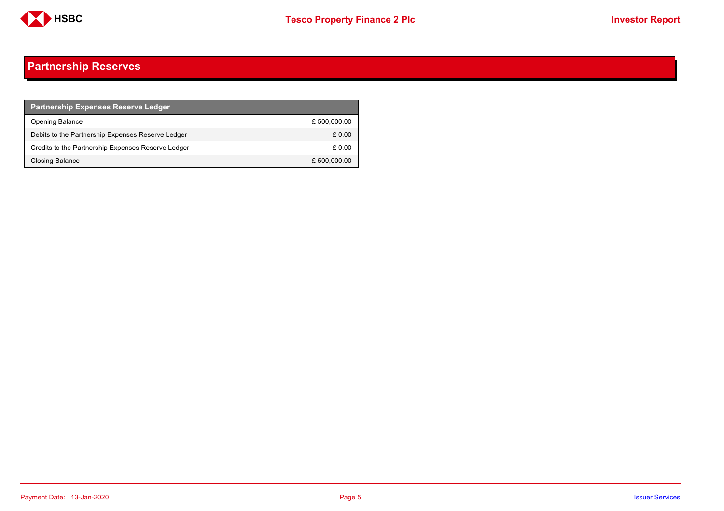

## <span id="page-4-0"></span>**Partnership Reserves**

| <b>Partnership Expenses Reserve Ledger</b>         |              |
|----------------------------------------------------|--------------|
| Opening Balance                                    | £500,000.00  |
| Debits to the Partnership Expenses Reserve Ledger  | £0.00        |
| Credits to the Partnership Expenses Reserve Ledger | £ 0.00       |
| Closing Balance                                    | £ 500,000.00 |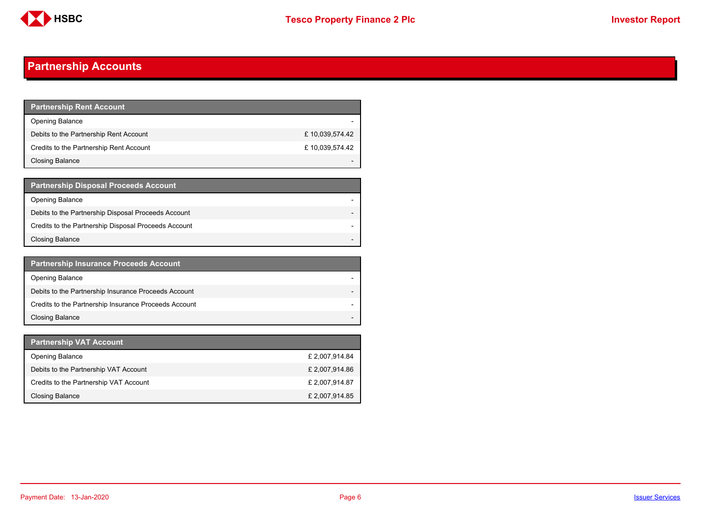

## <span id="page-5-0"></span>**Partnership Accounts**

| <b>Partnership Rent Account</b>         |                |
|-----------------------------------------|----------------|
| <b>Opening Balance</b>                  |                |
| Debits to the Partnership Rent Account  | £10,039,574.42 |
| Credits to the Partnership Rent Account | £10,039,574.42 |
| Closing Balance                         |                |

| <b>Partnership Disposal Proceeds Account</b>         |  |
|------------------------------------------------------|--|
| Opening Balance                                      |  |
| Debits to the Partnership Disposal Proceeds Account  |  |
| Credits to the Partnership Disposal Proceeds Account |  |
| Closing Balance                                      |  |

| <b>Partnership Insurance Proceeds Account</b>         |  |
|-------------------------------------------------------|--|
| <b>Opening Balance</b>                                |  |
| Debits to the Partnership Insurance Proceeds Account  |  |
| Credits to the Partnership Insurance Proceeds Account |  |
| <b>Closing Balance</b>                                |  |

| Partnership VAT Account                |                |
|----------------------------------------|----------------|
| <b>Opening Balance</b>                 | £ 2,007,914.84 |
| Debits to the Partnership VAT Account  | £ 2,007,914.86 |
| Credits to the Partnership VAT Account | £ 2,007,914.87 |
| Closing Balance                        | £ 2,007,914.85 |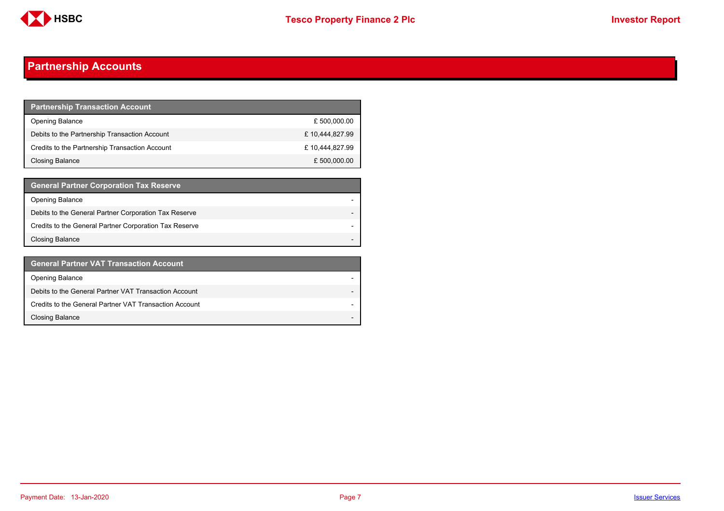

## **Partnership Accounts**

| <b>Partnership Transaction Account</b>         |                |
|------------------------------------------------|----------------|
| <b>Opening Balance</b>                         | £ 500,000.00   |
| Debits to the Partnership Transaction Account  | £10,444,827.99 |
| Credits to the Partnership Transaction Account | £10,444,827.99 |
| Closing Balance                                | £ 500,000.00   |

| <b>General Partner Corporation Tax Reserve</b>         |  |
|--------------------------------------------------------|--|
| <b>Opening Balance</b>                                 |  |
| Debits to the General Partner Corporation Tax Reserve  |  |
| Credits to the General Partner Corporation Tax Reserve |  |
| <b>Closing Balance</b>                                 |  |

| <b>General Partner VAT Transaction Account</b>         |                          |
|--------------------------------------------------------|--------------------------|
| <b>Opening Balance</b>                                 |                          |
| Debits to the General Partner VAT Transaction Account  |                          |
| Credits to the General Partner VAT Transaction Account |                          |
| <b>Closing Balance</b>                                 | $\overline{\phantom{0}}$ |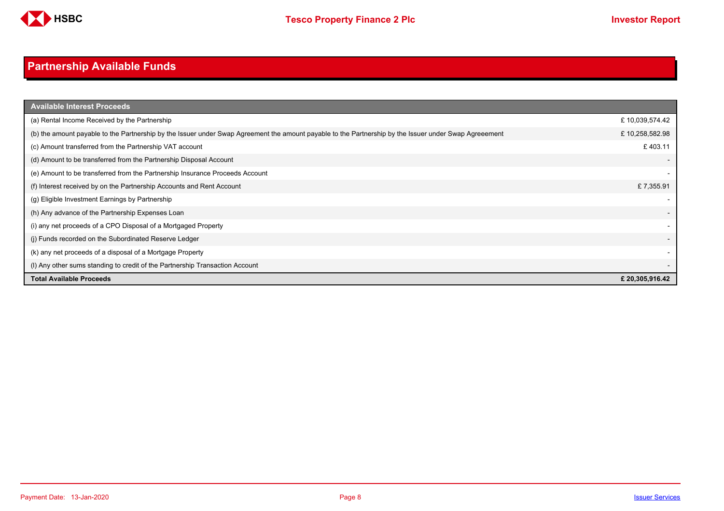

# <span id="page-7-0"></span>**Partnership Available Funds**

| <b>Available Interest Proceeds</b>                                                                                                                     |                |
|--------------------------------------------------------------------------------------------------------------------------------------------------------|----------------|
| (a) Rental Income Received by the Partnership                                                                                                          | £10,039,574.42 |
| (b) the amount payable to the Partnership by the Issuer under Swap Agreement the amount payable to the Partnership by the Issuer under Swap Agreeement | £10,258,582.98 |
| (c) Amount transferred from the Partnership VAT account                                                                                                | £403.11        |
| (d) Amount to be transferred from the Partnership Disposal Account                                                                                     |                |
| (e) Amount to be transferred from the Partnership Insurance Proceeds Account                                                                           |                |
| (f) Interest received by on the Partnership Accounts and Rent Account                                                                                  | £7,355.91      |
| (g) Eligible Investment Earnings by Partnership                                                                                                        |                |
| (h) Any advance of the Partnership Expenses Loan                                                                                                       |                |
| (i) any net proceeds of a CPO Disposal of a Mortgaged Property                                                                                         |                |
| (i) Funds recorded on the Subordinated Reserve Ledger                                                                                                  |                |
| (k) any net proceeds of a disposal of a Mortgage Property                                                                                              |                |
| (I) Any other sums standing to credit of the Partnership Transaction Account                                                                           |                |
| <b>Total Available Proceeds</b>                                                                                                                        | £20,305,916.42 |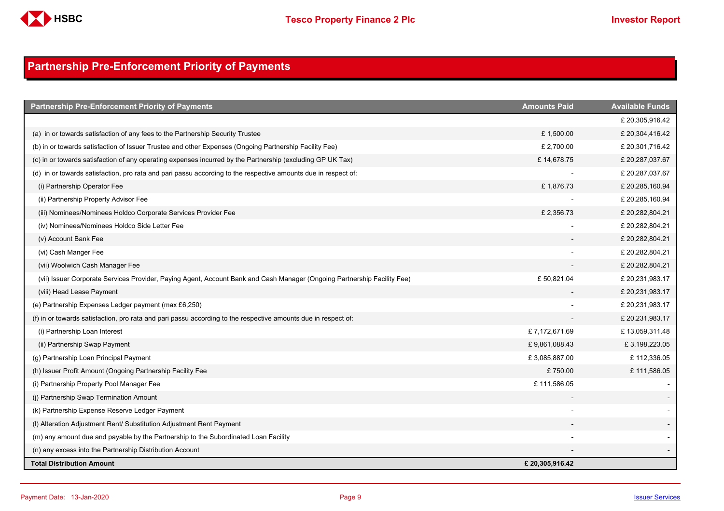

## <span id="page-8-0"></span>**Partnership Pre-Enforcement Priority of Payments**

| <b>Partnership Pre-Enforcement Priority of Payments</b>                                                                  | <b>Amounts Paid</b> | <b>Available Funds</b> |
|--------------------------------------------------------------------------------------------------------------------------|---------------------|------------------------|
|                                                                                                                          |                     | £ 20,305,916.42        |
| (a) in or towards satisfaction of any fees to the Partnership Security Trustee                                           | £1,500.00           | £ 20,304,416.42        |
| (b) in or towards satisfaction of Issuer Trustee and other Expenses (Ongoing Partnership Facility Fee)                   | £ 2,700.00          | £ 20,301,716.42        |
| (c) in or towards satisfaction of any operating expenses incurred by the Partnership (excluding GP UK Tax)               | £14,678.75          | £ 20,287,037.67        |
| (d) in or towards satisfaction, pro rata and pari passu according to the respective amounts due in respect of:           |                     | £ 20,287,037.67        |
| (i) Partnership Operator Fee                                                                                             | £1,876.73           | £ 20,285,160.94        |
| (ii) Partnership Property Advisor Fee                                                                                    |                     | £ 20,285,160.94        |
| (iii) Nominees/Nominees Holdco Corporate Services Provider Fee                                                           | £2,356.73           | £ 20,282,804.21        |
| (iv) Nominees/Nominees Holdco Side Letter Fee                                                                            |                     | £20,282,804.21         |
| (v) Account Bank Fee                                                                                                     |                     | £ 20,282,804.21        |
| (vi) Cash Manger Fee                                                                                                     |                     | £ 20,282,804.21        |
| (vii) Woolwich Cash Manager Fee                                                                                          |                     | £ 20,282,804.21        |
| (vii) Issuer Corporate Services Provider, Paying Agent, Account Bank and Cash Manager (Ongoing Partnership Facility Fee) | £50,821.04          | £ 20,231,983.17        |
| (viii) Head Lease Payment                                                                                                |                     | £ 20,231,983.17        |
| (e) Partnership Expenses Ledger payment (max £6,250)                                                                     |                     | £ 20,231,983.17        |
| (f) in or towards satisfaction, pro rata and pari passu according to the respective amounts due in respect of:           |                     | £ 20,231,983.17        |
| (i) Partnership Loan Interest                                                                                            | £7,172,671.69       | £13,059,311.48         |
| (ii) Partnership Swap Payment                                                                                            | £9,861,088.43       | £3,198,223.05          |
| (g) Partnership Loan Principal Payment                                                                                   | £3,085,887.00       | £112,336.05            |
| (h) Issuer Profit Amount (Ongoing Partnership Facility Fee                                                               | £750.00             | £111,586.05            |
| (i) Partnership Property Pool Manager Fee                                                                                | £111,586.05         |                        |
| (i) Partnership Swap Termination Amount                                                                                  |                     |                        |
| (k) Partnership Expense Reserve Ledger Payment                                                                           |                     |                        |
| (I) Alteration Adjustment Rent/ Substitution Adjustment Rent Payment                                                     |                     |                        |
| (m) any amount due and payable by the Partnership to the Subordinated Loan Facility                                      |                     |                        |
| (n) any excess into the Partnership Distribution Account                                                                 |                     |                        |
| <b>Total Distribution Amount</b>                                                                                         | £20,305,916.42      |                        |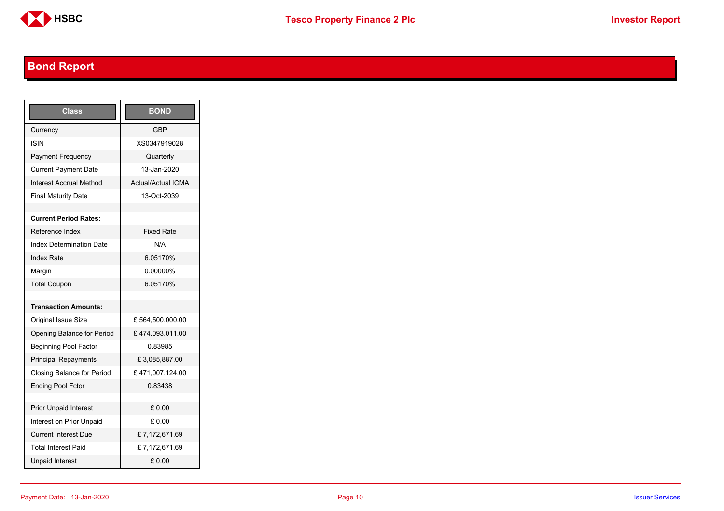

# <span id="page-9-0"></span>**Bond Report**

| Class                           | <b>BOND</b>               |
|---------------------------------|---------------------------|
| Currency                        | <b>GBP</b>                |
| ISIN                            | XS0347919028              |
| <b>Payment Frequency</b>        | Quarterly                 |
| <b>Current Payment Date</b>     | 13-Jan-2020               |
| Interest Accrual Method         | <b>Actual/Actual ICMA</b> |
| <b>Final Maturity Date</b>      | 13-Oct-2039               |
|                                 |                           |
| <b>Current Period Rates:</b>    |                           |
| Reference Index                 | <b>Fixed Rate</b>         |
| <b>Index Determination Date</b> | N/A                       |
| <b>Index Rate</b>               | 6.05170%                  |
| Margin                          | 0.00000%                  |
| <b>Total Coupon</b>             | 6.05170%                  |
|                                 |                           |
| <b>Transaction Amounts:</b>     |                           |
| Original Issue Size             | £564,500,000.00           |
| Opening Balance for Period      | £474,093,011.00           |
| <b>Beginning Pool Factor</b>    | 0.83985                   |
| <b>Principal Repayments</b>     | £ 3,085,887.00            |
| Closing Balance for Period      | £471,007,124.00           |
| <b>Ending Pool Fctor</b>        | 0.83438                   |
|                                 |                           |
| <b>Prior Unpaid Interest</b>    | £0.00                     |
| Interest on Prior Unpaid        | £ 0.00                    |
| <b>Current Interest Due</b>     | £7,172,671.69             |
| <b>Total Interest Paid</b>      | £7,172,671.69             |
| <b>Unpaid Interest</b>          | £0.00                     |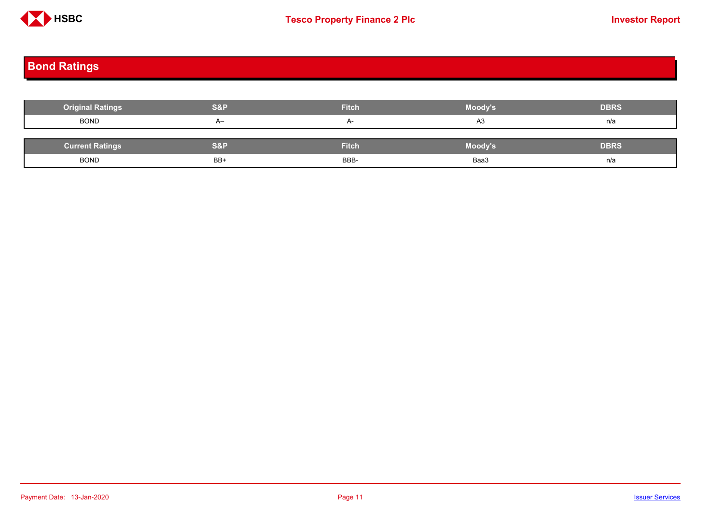

# <span id="page-10-0"></span>**Bond Ratings**

| <b>Original Ratings</b> | S&P  | <b>Fitch</b> | Moody's | <b>DBRS</b> |
|-------------------------|------|--------------|---------|-------------|
| <b>BOND</b>             | $A-$ |              | A3      | n/a         |
|                         |      |              |         |             |
| <b>Current Ratings</b>  | S&P  | <b>Fitch</b> | Moody's | <b>DBRS</b> |
| <b>BOND</b>             | BB+  | BBB-         | Baa3    | n/a         |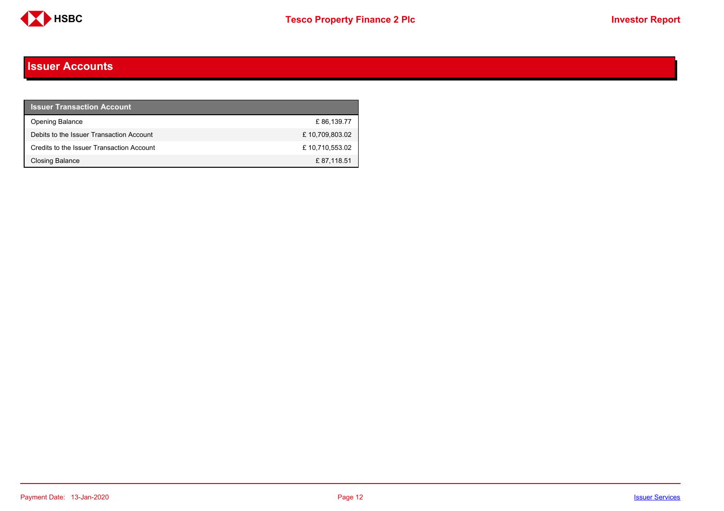

#### <span id="page-11-0"></span>**Issuer Accounts**

| <b>Issuer Transaction Account</b>         |                |
|-------------------------------------------|----------------|
| <b>Opening Balance</b>                    | £86.139.77     |
| Debits to the Issuer Transaction Account  | £10,709,803.02 |
| Credits to the Issuer Transaction Account | £10,710,553.02 |
| <b>Closing Balance</b>                    | £87,118.51     |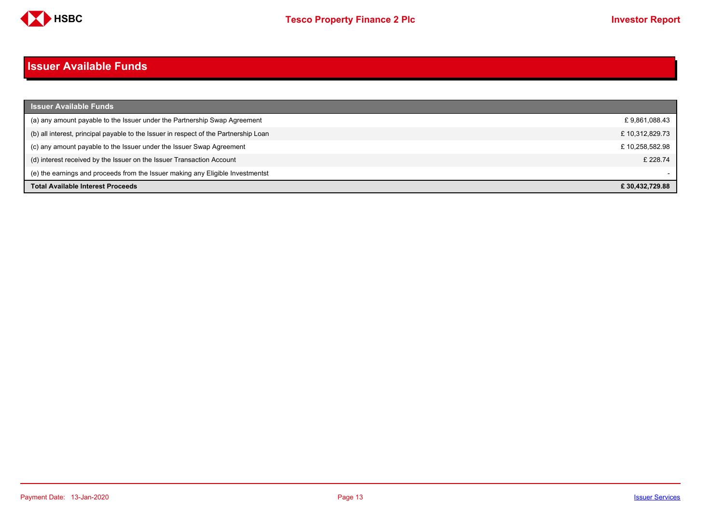

#### <span id="page-12-0"></span>**Issuer Available Funds**

| <b>Issuer Available Funds</b>                                                        |                |
|--------------------------------------------------------------------------------------|----------------|
| (a) any amount payable to the Issuer under the Partnership Swap Agreement            | £9,861,088.43  |
| (b) all interest, principal payable to the Issuer in respect of the Partnership Loan | £10,312,829.73 |
| (c) any amount payable to the Issuer under the Issuer Swap Agreement                 | £10,258,582.98 |
| (d) interest received by the Issuer on the Issuer Transaction Account                | £ 228.74       |
| (e) the earnings and proceeds from the Issuer making any Eligible Investmentst       |                |
| <b>Total Available Interest Proceeds</b>                                             | £30,432,729.88 |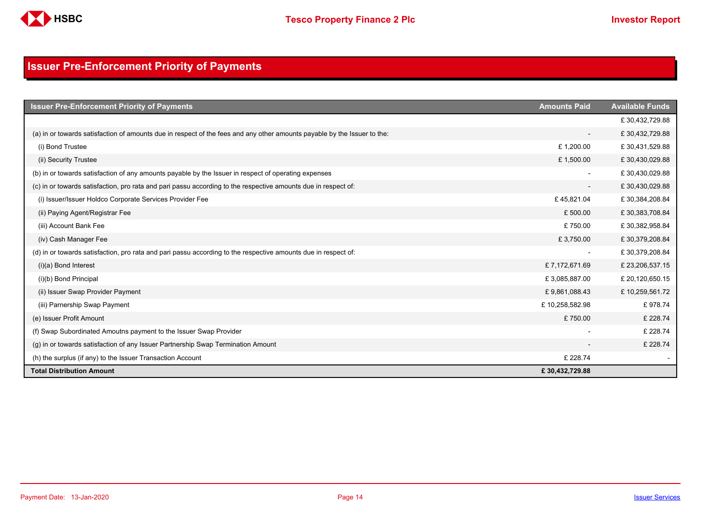

## <span id="page-13-0"></span>**Issuer Pre-Enforcement Priority of Payments**

| <b>Issuer Pre-Enforcement Priority of Payments</b>                                                                       | <b>Amounts Paid</b>      | <b>Available Funds</b> |
|--------------------------------------------------------------------------------------------------------------------------|--------------------------|------------------------|
|                                                                                                                          |                          | £30,432,729.88         |
| (a) in or towards satisfaction of amounts due in respect of the fees and any other amounts payable by the Issuer to the: | $\overline{\phantom{a}}$ | £30,432,729.88         |
| (i) Bond Trustee                                                                                                         | £1,200.00                | £30,431,529.88         |
| (ii) Security Trustee                                                                                                    | £1,500.00                | £30,430,029.88         |
| (b) in or towards satisfaction of any amounts payable by the Issuer in respect of operating expenses                     | $\overline{\phantom{a}}$ | £30,430,029.88         |
| (c) in or towards satisfaction, pro rata and pari passu according to the respective amounts due in respect of:           | $\overline{\phantom{a}}$ | £30,430,029.88         |
| (i) Issuer/Issuer Holdco Corporate Services Provider Fee                                                                 | £45,821.04               | £30,384,208.84         |
| (ii) Paying Agent/Registrar Fee                                                                                          | £500.00                  | £30,383,708.84         |
| (iii) Account Bank Fee                                                                                                   | £750.00                  | £30,382,958.84         |
| (iv) Cash Manager Fee                                                                                                    | £3,750.00                | £30,379,208.84         |
| (d) in or towards satisfaction, pro rata and pari passu according to the respective amounts due in respect of:           |                          | £30,379,208.84         |
| $(i)(a)$ Bond Interest                                                                                                   | £7,172,671.69            | £23,206,537.15         |
| (i)(b) Bond Principal                                                                                                    | £3,085,887.00            | £20,120,650.15         |
| (ii) Issuer Swap Provider Payment                                                                                        | £9,861,088.43            | £10,259,561.72         |
| (iii) Parnership Swap Payment                                                                                            | £10,258,582.98           | £978.74                |
| (e) Issuer Profit Amount                                                                                                 | £750.00                  | £228.74                |
| (f) Swap Subordinated Amoutns payment to the Issuer Swap Provider                                                        |                          | £ 228.74               |
| (g) in or towards satisfaction of any Issuer Partnership Swap Termination Amount                                         |                          | £228.74                |
| (h) the surplus (if any) to the Issuer Transaction Account                                                               | £ 228.74                 |                        |
| <b>Total Distribution Amount</b>                                                                                         | £30,432,729.88           |                        |